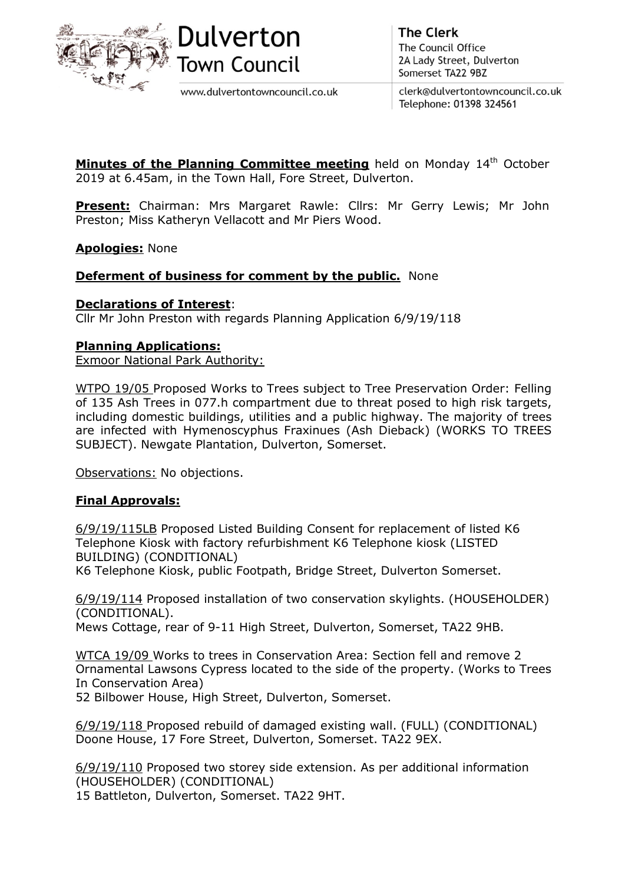



www.dulvertontowncouncil.co.uk

**The Clerk** The Council Office 2A Lady Street, Dulverton Somerset TA22 9BZ

clerk@dulvertontowncouncil.co.uk Telephone: 01398 324561

**Minutes of the Planning Committee meeting** held on Monday  $14<sup>th</sup>$  October 2019 at 6.45am, in the Town Hall, Fore Street, Dulverton.

Present: Chairman: Mrs Margaret Rawle: Cllrs: Mr Gerry Lewis; Mr John Preston; Miss Katheryn Vellacott and Mr Piers Wood.

# Apologies: None

## **Deferment of business for comment by the public.** None

## Declarations of Interest:

Cllr Mr John Preston with regards Planning Application 6/9/19/118

## Planning Applications:

Exmoor National Park Authority:

WTPO 19/05 Proposed Works to Trees subject to Tree Preservation Order: Felling of 135 Ash Trees in 077.h compartment due to threat posed to high risk targets, including domestic buildings, utilities and a public highway. The majority of trees are infected with Hymenoscyphus Fraxinues (Ash Dieback) (WORKS TO TREES SUBJECT). Newgate Plantation, Dulverton, Somerset.

Observations: No objections.

## Final Approvals:

6/9/19/115LB Proposed Listed Building Consent for replacement of listed K6 Telephone Kiosk with factory refurbishment K6 Telephone kiosk (LISTED BUILDING) (CONDITIONAL)

K6 Telephone Kiosk, public Footpath, Bridge Street, Dulverton Somerset.

6/9/19/114 Proposed installation of two conservation skylights. (HOUSEHOLDER) (CONDITIONAL).

Mews Cottage, rear of 9-11 High Street, Dulverton, Somerset, TA22 9HB.

WTCA 19/09 Works to trees in Conservation Area: Section fell and remove 2 Ornamental Lawsons Cypress located to the side of the property. (Works to Trees In Conservation Area)

52 Bilbower House, High Street, Dulverton, Somerset.

6/9/19/118 Proposed rebuild of damaged existing wall. (FULL) (CONDITIONAL) Doone House, 17 Fore Street, Dulverton, Somerset. TA22 9EX.

6/9/19/110 Proposed two storey side extension. As per additional information (HOUSEHOLDER) (CONDITIONAL)

15 Battleton, Dulverton, Somerset. TA22 9HT.